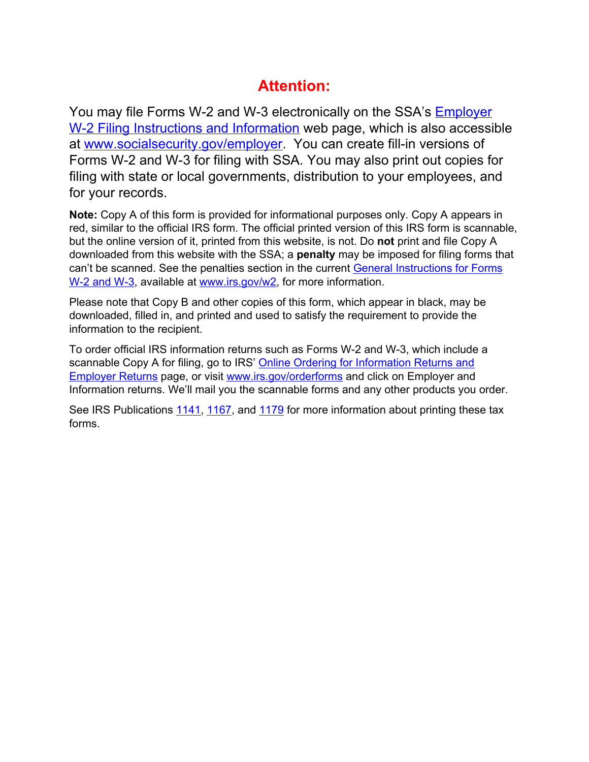## **Attention:**

You may file Forms W-2 and W-3 electronically on the SSA's [Employer](http://www.socialsecurity.gov/employer)  [W-2 Filing Instructions and Information](http://www.socialsecurity.gov/employer) web page, which is also accessible at [www.socialsecurity.gov/employer.](http://www.socialsecurity.gov/employer) You can create fill-in versions of Forms W-2 and W-3 for filing with SSA. You may also print out copies for filing with state or local governments, distribution to your employees, and for your records.

**Note:** Copy A of this form is provided for informational purposes only. Copy A appears in red, similar to the official IRS form. The official printed version of this IRS form is scannable, but the online version of it, printed from this website, is not. Do **not** print and file Copy A downloaded from this website with the SSA; a **penalty** may be imposed for filing forms that can't be scanned. See the penalties section in the current [General Instructions for Forms](https://www.irs.gov/instructions/iw2w3/index.html)  [W-2 and W-3,](https://www.irs.gov/instructions/iw2w3/index.html) available at [www.irs.gov/w2](http://www.irs.gov/w2), for more information.

Please note that Copy B and other copies of this form, which appear in black, may be downloaded, filled in, and printed and used to satisfy the requirement to provide the information to the recipient.

To order official IRS information returns such as Forms W-2 and W-3, which include a scannable Copy A for filing, go to IRS' [Online Ordering for Information Returns and](https://www.irs.gov/businesses/online-ordering-for-information-returns-and-employer-returns)  [Employer Returns](https://www.irs.gov/businesses/online-ordering-for-information-returns-and-employer-returns) page, or visit [www.irs.gov/orderforms](http://www.irs.gov/orderforms) and click on Employer and Information returns. We'll mail you the scannable forms and any other products you order.

See IRS Publications [1141,](http://www.irs.gov/pub1141) [1167,](http://www.irs.gov/pub1167) and [1179](http://www.irs.gov/pub1179) for more information about printing these tax forms.